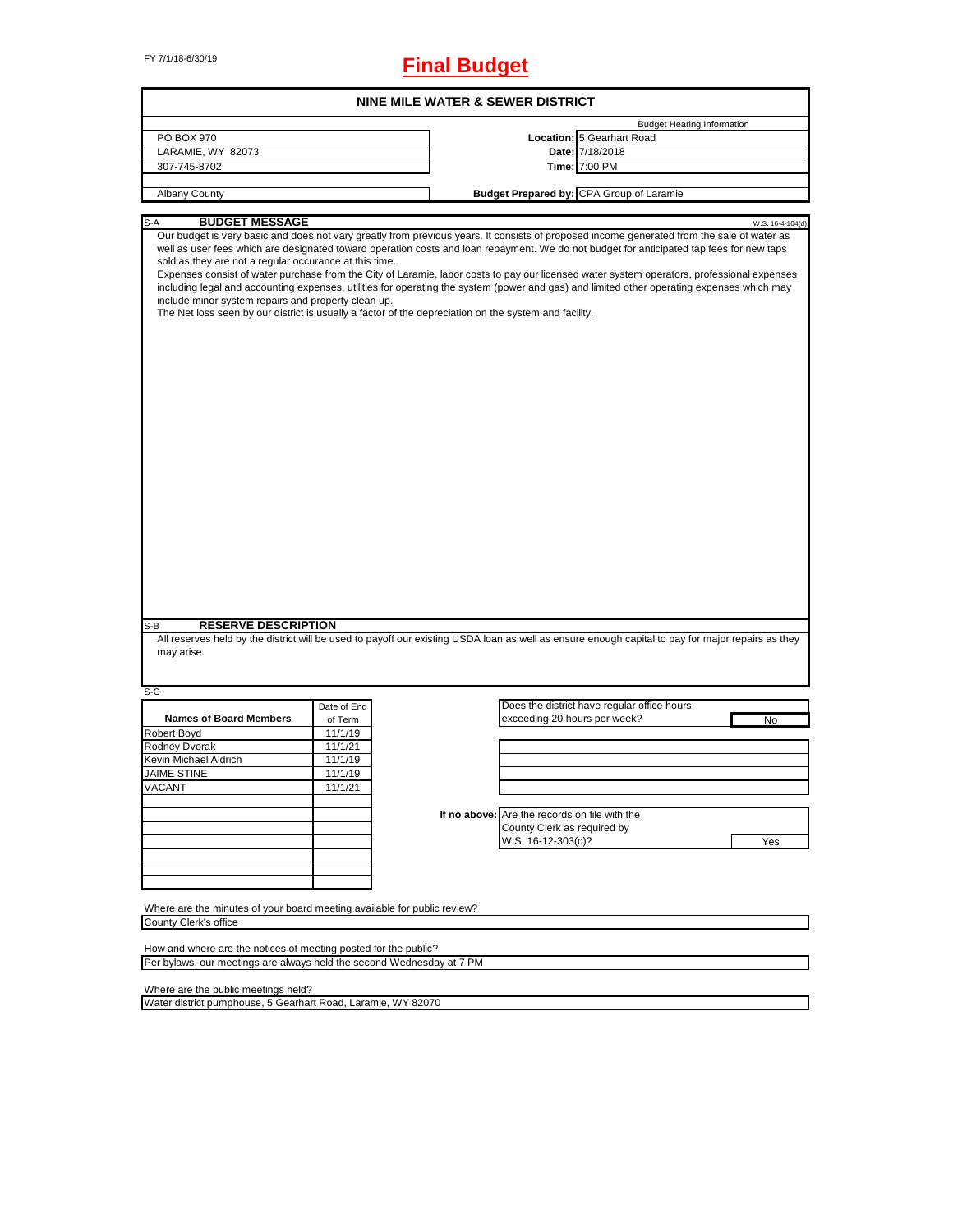# FY 7/1/18-6/30/19 **Final Budget**

| NINE MILE WATER & SEWER DISTRICT                                                                                                                                                                                                                                                                                                                                                                                                                                                                                                                                                                                                                                                                                                                                                                             |             |  |                                               |                                             |     |                  |
|--------------------------------------------------------------------------------------------------------------------------------------------------------------------------------------------------------------------------------------------------------------------------------------------------------------------------------------------------------------------------------------------------------------------------------------------------------------------------------------------------------------------------------------------------------------------------------------------------------------------------------------------------------------------------------------------------------------------------------------------------------------------------------------------------------------|-------------|--|-----------------------------------------------|---------------------------------------------|-----|------------------|
|                                                                                                                                                                                                                                                                                                                                                                                                                                                                                                                                                                                                                                                                                                                                                                                                              |             |  |                                               | <b>Budget Hearing Information</b>           |     |                  |
| PO BOX 970                                                                                                                                                                                                                                                                                                                                                                                                                                                                                                                                                                                                                                                                                                                                                                                                   |             |  |                                               | Location: 5 Gearhart Road                   |     |                  |
| LARAMIE, WY 82073                                                                                                                                                                                                                                                                                                                                                                                                                                                                                                                                                                                                                                                                                                                                                                                            |             |  |                                               | Date: 7/18/2018                             |     |                  |
| 307-745-8702                                                                                                                                                                                                                                                                                                                                                                                                                                                                                                                                                                                                                                                                                                                                                                                                 |             |  |                                               | Time: 7:00 PM                               |     |                  |
| Albany County                                                                                                                                                                                                                                                                                                                                                                                                                                                                                                                                                                                                                                                                                                                                                                                                |             |  |                                               | Budget Prepared by: CPA Group of Laramie    |     |                  |
|                                                                                                                                                                                                                                                                                                                                                                                                                                                                                                                                                                                                                                                                                                                                                                                                              |             |  |                                               |                                             |     |                  |
| <b>BUDGET MESSAGE</b><br>S-A                                                                                                                                                                                                                                                                                                                                                                                                                                                                                                                                                                                                                                                                                                                                                                                 |             |  |                                               |                                             |     | W.S. 16-4-104(d) |
| Our budget is very basic and does not vary greatly from previous years. It consists of proposed income generated from the sale of water as<br>well as user fees which are designated toward operation costs and loan repayment. We do not budget for anticipated tap fees for new taps<br>sold as they are not a regular occurance at this time.<br>Expenses consist of water purchase from the City of Laramie, labor costs to pay our licensed water system operators, professional expenses<br>including legal and accounting expenses, utilities for operating the system (power and gas) and limited other operating expenses which may<br>include minor system repairs and property clean up.<br>The Net loss seen by our district is usually a factor of the depreciation on the system and facility. |             |  |                                               |                                             |     |                  |
| <b>RESERVE DESCRIPTION</b>                                                                                                                                                                                                                                                                                                                                                                                                                                                                                                                                                                                                                                                                                                                                                                                   |             |  |                                               |                                             |     |                  |
| S-B<br>All reserves held by the district will be used to payoff our existing USDA loan as well as ensure enough capital to pay for major repairs as they                                                                                                                                                                                                                                                                                                                                                                                                                                                                                                                                                                                                                                                     |             |  |                                               |                                             |     |                  |
| may arise.                                                                                                                                                                                                                                                                                                                                                                                                                                                                                                                                                                                                                                                                                                                                                                                                   |             |  |                                               |                                             |     |                  |
| S-C                                                                                                                                                                                                                                                                                                                                                                                                                                                                                                                                                                                                                                                                                                                                                                                                          |             |  |                                               |                                             |     |                  |
|                                                                                                                                                                                                                                                                                                                                                                                                                                                                                                                                                                                                                                                                                                                                                                                                              | Date of End |  |                                               | Does the district have regular office hours |     |                  |
| <b>Names of Board Members</b>                                                                                                                                                                                                                                                                                                                                                                                                                                                                                                                                                                                                                                                                                                                                                                                | of Term     |  | exceeding 20 hours per week?                  |                                             | No  |                  |
| Robert Boyd                                                                                                                                                                                                                                                                                                                                                                                                                                                                                                                                                                                                                                                                                                                                                                                                  | 11/1/19     |  |                                               |                                             |     |                  |
| Rodney Dvorak                                                                                                                                                                                                                                                                                                                                                                                                                                                                                                                                                                                                                                                                                                                                                                                                | 11/1/21     |  |                                               |                                             |     |                  |
| Kevin Michael Aldrich                                                                                                                                                                                                                                                                                                                                                                                                                                                                                                                                                                                                                                                                                                                                                                                        | 11/1/19     |  |                                               |                                             |     |                  |
| <b>JAIME STINE</b>                                                                                                                                                                                                                                                                                                                                                                                                                                                                                                                                                                                                                                                                                                                                                                                           | 11/1/19     |  |                                               |                                             |     |                  |
| VACANI                                                                                                                                                                                                                                                                                                                                                                                                                                                                                                                                                                                                                                                                                                                                                                                                       | 11/1/21     |  |                                               |                                             |     |                  |
|                                                                                                                                                                                                                                                                                                                                                                                                                                                                                                                                                                                                                                                                                                                                                                                                              |             |  |                                               |                                             |     |                  |
|                                                                                                                                                                                                                                                                                                                                                                                                                                                                                                                                                                                                                                                                                                                                                                                                              |             |  | If no above: Are the records on file with the |                                             |     |                  |
|                                                                                                                                                                                                                                                                                                                                                                                                                                                                                                                                                                                                                                                                                                                                                                                                              |             |  | County Clerk as required by                   |                                             |     |                  |
|                                                                                                                                                                                                                                                                                                                                                                                                                                                                                                                                                                                                                                                                                                                                                                                                              |             |  |                                               |                                             |     |                  |
|                                                                                                                                                                                                                                                                                                                                                                                                                                                                                                                                                                                                                                                                                                                                                                                                              |             |  | W.S. 16-12-303(c)?                            |                                             | Yes |                  |
|                                                                                                                                                                                                                                                                                                                                                                                                                                                                                                                                                                                                                                                                                                                                                                                                              |             |  |                                               |                                             |     |                  |
|                                                                                                                                                                                                                                                                                                                                                                                                                                                                                                                                                                                                                                                                                                                                                                                                              |             |  |                                               |                                             |     |                  |
|                                                                                                                                                                                                                                                                                                                                                                                                                                                                                                                                                                                                                                                                                                                                                                                                              |             |  |                                               |                                             |     |                  |
|                                                                                                                                                                                                                                                                                                                                                                                                                                                                                                                                                                                                                                                                                                                                                                                                              |             |  |                                               |                                             |     |                  |
|                                                                                                                                                                                                                                                                                                                                                                                                                                                                                                                                                                                                                                                                                                                                                                                                              |             |  |                                               |                                             |     |                  |
| Where are the minutes of your board meeting available for public review?<br>County Clerk's office                                                                                                                                                                                                                                                                                                                                                                                                                                                                                                                                                                                                                                                                                                            |             |  |                                               |                                             |     |                  |

How and where are the notices of meeting posted for the public? Per bylaws, our meetings are always held the second Wednesday at 7 PM

Where are the public meetings held?

Water district pumphouse, 5 Gearhart Road, Laramie, WY 82070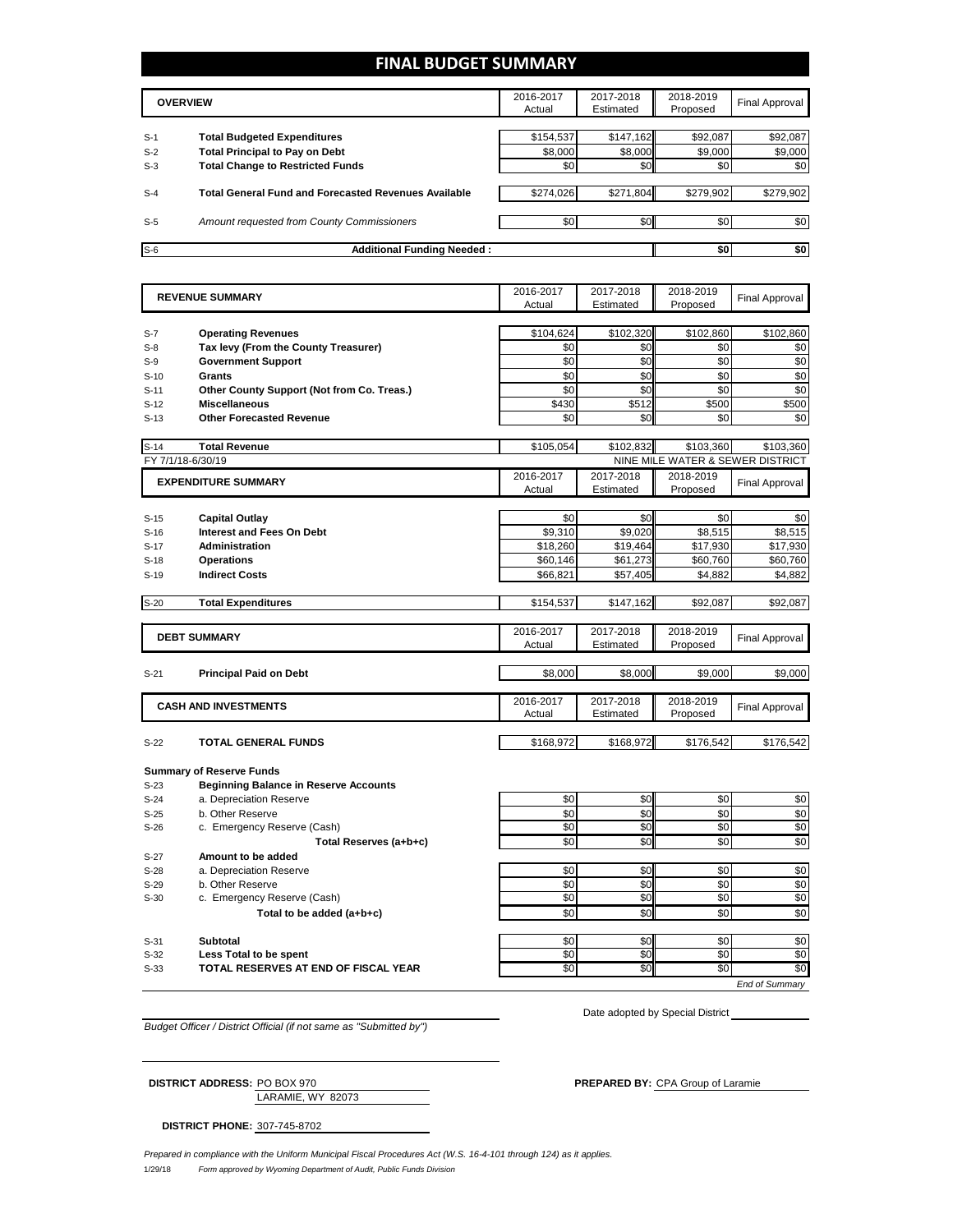# **FINAL BUDGET SUMMARY**

|       | <b>OVERVIEW</b>                                             | 2016-2017<br>Actual | 2017-2018<br>Estimated | 2018-2019<br>Proposed | Final Approval |
|-------|-------------------------------------------------------------|---------------------|------------------------|-----------------------|----------------|
|       |                                                             |                     |                        |                       |                |
| $S-1$ | <b>Total Budgeted Expenditures</b>                          | \$154,537           | \$147,162              | \$92,087              | \$92,087       |
| $S-2$ | <b>Total Principal to Pay on Debt</b>                       | \$8,000             | \$8,000                | \$9,000               | \$9,000        |
| $S-3$ | <b>Total Change to Restricted Funds</b>                     | \$0                 | \$0                    | \$0                   | \$0            |
|       |                                                             |                     |                        |                       |                |
| $S-4$ | <b>Total General Fund and Forecasted Revenues Available</b> | \$274,026           | \$271,804              | \$279,902             | \$279,902      |
|       |                                                             |                     |                        |                       |                |
| $S-5$ | Amount requested from County Commissioners                  | \$0                 | \$0 <sub>1</sub>       | \$0                   | \$0            |
|       |                                                             |                     |                        |                       |                |
| $S-6$ | <b>Additional Funding Needed:</b>                           |                     |                        | \$0                   | \$0            |

|                  | <b>REVENUE SUMMARY</b>                       | 2016-2017 | 2017-2018 | 2018-2019 | <b>Final Approval</b>            |
|------------------|----------------------------------------------|-----------|-----------|-----------|----------------------------------|
|                  |                                              | Actual    | Estimated | Proposed  |                                  |
| $S-7$            | <b>Operating Revenues</b>                    | \$104,624 | \$102,320 | \$102,860 | \$102,860                        |
| $S-8$            | Tax levy (From the County Treasurer)         | \$0       | \$0       | \$0       | \$0                              |
| $S-9$            | <b>Government Support</b>                    | \$0       | \$0       | \$0       | \$0                              |
| $S-10$           | <b>Grants</b>                                | \$0       | \$0       | \$0       | \$0                              |
|                  | Other County Support (Not from Co. Treas.)   | \$0       | \$0       | \$0       | \$0                              |
| $S-11$<br>$S-12$ | <b>Miscellaneous</b>                         | \$430     | \$512     | \$500     | \$500                            |
|                  |                                              | \$0       |           | \$0       |                                  |
| $S-13$           | <b>Other Forecasted Revenue</b>              |           | \$0       |           | \$0                              |
| $S-14$           | <b>Total Revenue</b>                         | \$105,054 | \$102,832 | \$103,360 | \$103,360                        |
|                  | FY 7/1/18-6/30/19                            |           |           |           | NINE MILE WATER & SEWER DISTRICT |
|                  | <b>EXPENDITURE SUMMARY</b>                   | 2016-2017 | 2017-2018 | 2018-2019 | <b>Final Approval</b>            |
|                  |                                              | Actual    | Estimated | Proposed  |                                  |
|                  |                                              |           |           |           |                                  |
| $S-15$           | <b>Capital Outlay</b>                        | \$0       | \$0       | \$0       | \$0                              |
| $S-16$           | <b>Interest and Fees On Debt</b>             | \$9,310   | \$9,020   | \$8,515   | \$8,515                          |
| $S-17$           | <b>Administration</b>                        | \$18,260  | \$19,464  | \$17,930  | \$17,930                         |
| $S-18$           | <b>Operations</b>                            | \$60,146  | \$61,273  | \$60,760  | \$60,760                         |
| $S-19$           | <b>Indirect Costs</b>                        | \$66,821  | \$57,405  | \$4,882   | \$4,882                          |
| $S-20$           | <b>Total Expenditures</b>                    | \$154,537 | \$147,162 | \$92,087  | \$92,087                         |
|                  |                                              |           |           |           |                                  |
|                  | <b>DEBT SUMMARY</b>                          | 2016-2017 | 2017-2018 | 2018-2019 | <b>Final Approval</b>            |
|                  |                                              | Actual    | Estimated | Proposed  |                                  |
|                  |                                              |           |           |           |                                  |
| $S-21$           | <b>Principal Paid on Debt</b>                | \$8,000   | \$8,000   | \$9.000   | \$9,000                          |
|                  |                                              | 2016-2017 | 2017-2018 | 2018-2019 |                                  |
|                  | <b>CASH AND INVESTMENTS</b>                  | Actual    | Estimated | Proposed  | <b>Final Approval</b>            |
|                  |                                              |           |           |           |                                  |
| $S-22$           | <b>TOTAL GENERAL FUNDS</b>                   | \$168,972 | \$168,972 | \$176,542 | \$176,542                        |
|                  | <b>Summary of Reserve Funds</b>              |           |           |           |                                  |
| $S-23$           | <b>Beginning Balance in Reserve Accounts</b> |           |           |           |                                  |
| $S-24$           | a. Depreciation Reserve                      | \$0       | \$0       | \$0       | \$0                              |
| $S-25$           | b. Other Reserve                             | \$0       | \$0       | \$0       | $\overline{30}$                  |
| $S-26$           | c. Emergency Reserve (Cash)                  | \$0       | \$0       | \$0       | \$0                              |
|                  | Total Reserves (a+b+c)                       | \$0       | \$0       | \$0       | \$0                              |
| $S-27$           | Amount to be added                           |           |           |           |                                  |
| $S-28$           | a. Depreciation Reserve                      | \$0       | \$0       | \$0       | \$0                              |
| $S-29$           | b. Other Reserve                             | \$0       | \$0       | \$0       | \$0                              |
| $S-30$           | c. Emergency Reserve (Cash)                  | \$0       | \$0       | \$0       | \$0                              |
|                  | Total to be added (a+b+c)                    | \$0       | \$0       | \$0       | \$0                              |
|                  |                                              |           |           |           |                                  |
| $S-31$           | <b>Subtotal</b>                              | \$0       | \$0       | \$0       | \$0                              |
| $S-32$           | Less Total to be spent                       | \$0       | \$0       | \$0       | \$0                              |
| $S-33$           | TOTAL RESERVES AT END OF FISCAL YEAR         | \$0       | \$0       | \$0       | \$0                              |
|                  |                                              |           |           |           | <b>End of Summarv</b>            |

*Budget Officer / District Official (if not same as "Submitted by")*

Date adopted by Special District

LARAMIE, WY 82073

**DISTRICT ADDRESS:** PO BOX 970 **PREPARED BY:** CPA Group of Laramie

**DISTRICT PHONE:** 307-745-8702

1/29/18 *Form approved by Wyoming Department of Audit, Public Funds Division Prepared in compliance with the Uniform Municipal Fiscal Procedures Act (W.S. 16-4-101 through 124) as it applies.*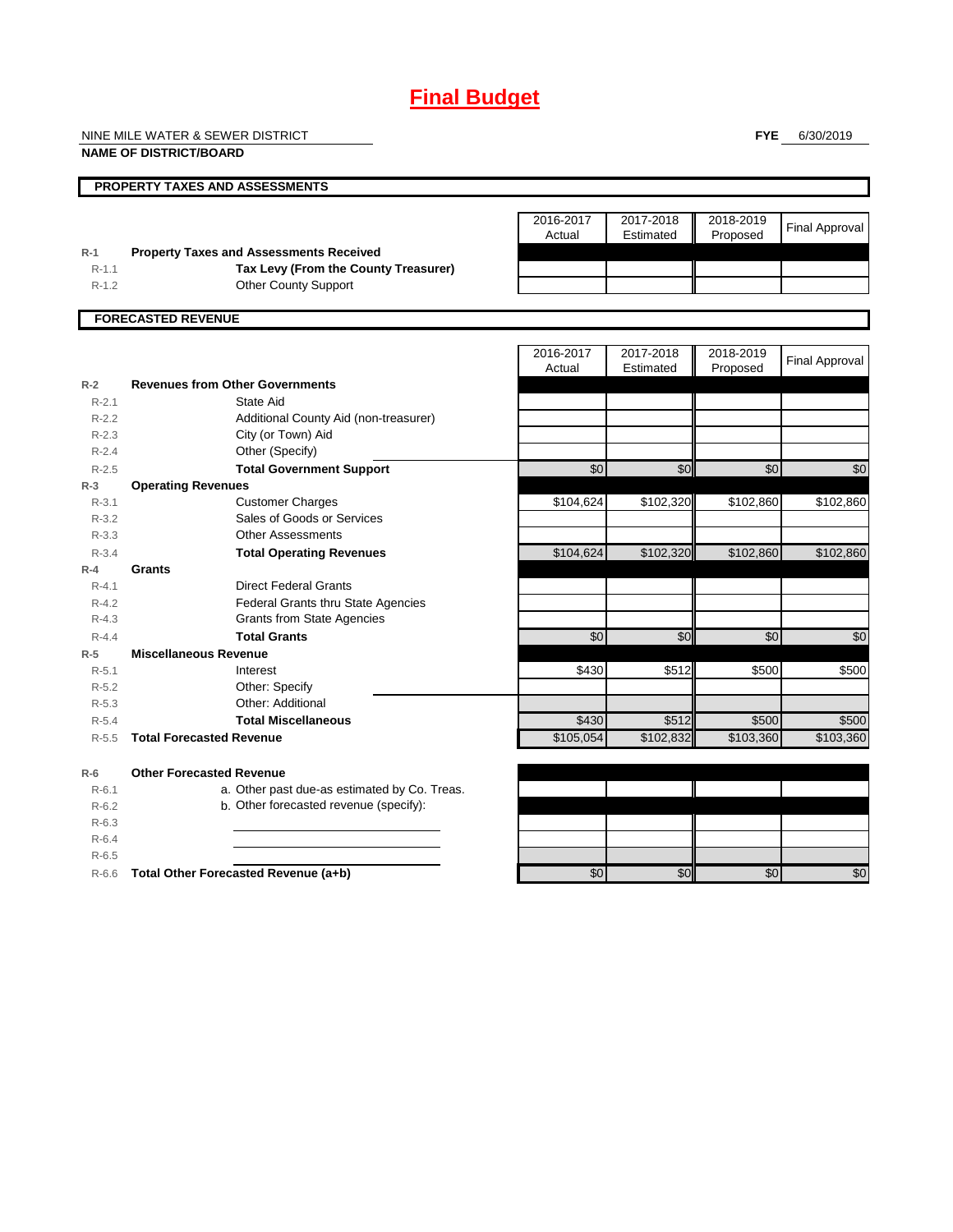# **Final Budget**

NINE MILE WATER & SEWER DISTRICT

**NAME OF DISTRICT/BOARD**

**FYE** 6/30/2019

|                        | PROPERTY TAXES AND ASSESSMENTS                        |                     |                        |                       |                       |
|------------------------|-------------------------------------------------------|---------------------|------------------------|-----------------------|-----------------------|
|                        |                                                       | 2016-2017<br>Actual | 2017-2018<br>Estimated | 2018-2019<br>Proposed | <b>Final Approval</b> |
| $R-1$                  | <b>Property Taxes and Assessments Received</b>        |                     |                        |                       |                       |
| $R-1.1$                | Tax Levy (From the County Treasurer)                  |                     |                        |                       |                       |
| $R-1.2$                | <b>Other County Support</b>                           |                     |                        |                       |                       |
|                        | <b>FORECASTED REVENUE</b>                             |                     |                        |                       |                       |
|                        |                                                       | 2016-2017           | 2017-2018              | 2018-2019             | <b>Final Approval</b> |
|                        |                                                       | Actual              | Estimated              | Proposed              |                       |
| $R-2$                  | <b>Revenues from Other Governments</b>                |                     |                        |                       |                       |
| $R - 2.1$              | <b>State Aid</b>                                      |                     |                        |                       |                       |
| $R - 2.2$              | Additional County Aid (non-treasurer)                 |                     |                        |                       |                       |
| $R-2.3$                | City (or Town) Aid                                    |                     |                        |                       |                       |
| $R - 2.4$              | Other (Specify)                                       |                     |                        |                       |                       |
| $R - 2.5$<br>$R-3$     | <b>Total Government Support</b>                       | \$0                 | \$0                    | \$0                   | \$0                   |
| $R-3.1$                | <b>Operating Revenues</b>                             | \$104,624           | \$102,320              | \$102,860             | \$102,860             |
|                        | <b>Customer Charges</b><br>Sales of Goods or Services |                     |                        |                       |                       |
| $R - 3.2$<br>$R - 3.3$ | <b>Other Assessments</b>                              |                     |                        |                       |                       |
| $R - 3.4$              | <b>Total Operating Revenues</b>                       | \$104,624           | \$102,320              | \$102,860             | \$102,860             |
| $R-4$                  | <b>Grants</b>                                         |                     |                        |                       |                       |
| $R - 4.1$              | <b>Direct Federal Grants</b>                          |                     |                        |                       |                       |
| $R - 4.2$              | Federal Grants thru State Agencies                    |                     |                        |                       |                       |
| $R-4.3$                | <b>Grants from State Agencies</b>                     |                     |                        |                       |                       |
| $R - 4.4$              | <b>Total Grants</b>                                   | \$0                 | \$0                    | \$0                   | \$0                   |
| $R-5$                  | <b>Miscellaneous Revenue</b>                          |                     |                        |                       |                       |
| $R - 5.1$              | Interest                                              | \$430               | \$512                  | \$500                 | \$500                 |
| $R-5.2$                | Other: Specify                                        |                     |                        |                       |                       |
| $R-5.3$                | Other: Additional                                     |                     |                        |                       |                       |
| $R - 5.4$              | <b>Total Miscellaneous</b>                            | \$430               | \$512                  | \$500                 | \$500                 |
| $R - 5.5$              | <b>Total Forecasted Revenue</b>                       | \$105,054           | \$102,832              | \$103,360             | \$103,360             |
| $R-6$                  | <b>Other Forecasted Revenue</b>                       |                     |                        |                       |                       |
| $R - 6.1$              | a. Other past due-as estimated by Co. Treas.          |                     |                        |                       |                       |
| $R-6.2$                | b. Other forecasted revenue (specify):                |                     |                        |                       |                       |
| $R - 6.3$              |                                                       |                     |                        |                       |                       |
| $R-6.4$                |                                                       |                     |                        |                       |                       |
| $R - 6.5$              |                                                       |                     |                        |                       |                       |
| $R-6.6$                | Total Other Forecasted Revenue (a+b)                  | \$0                 | \$0                    | \$0                   | \$0                   |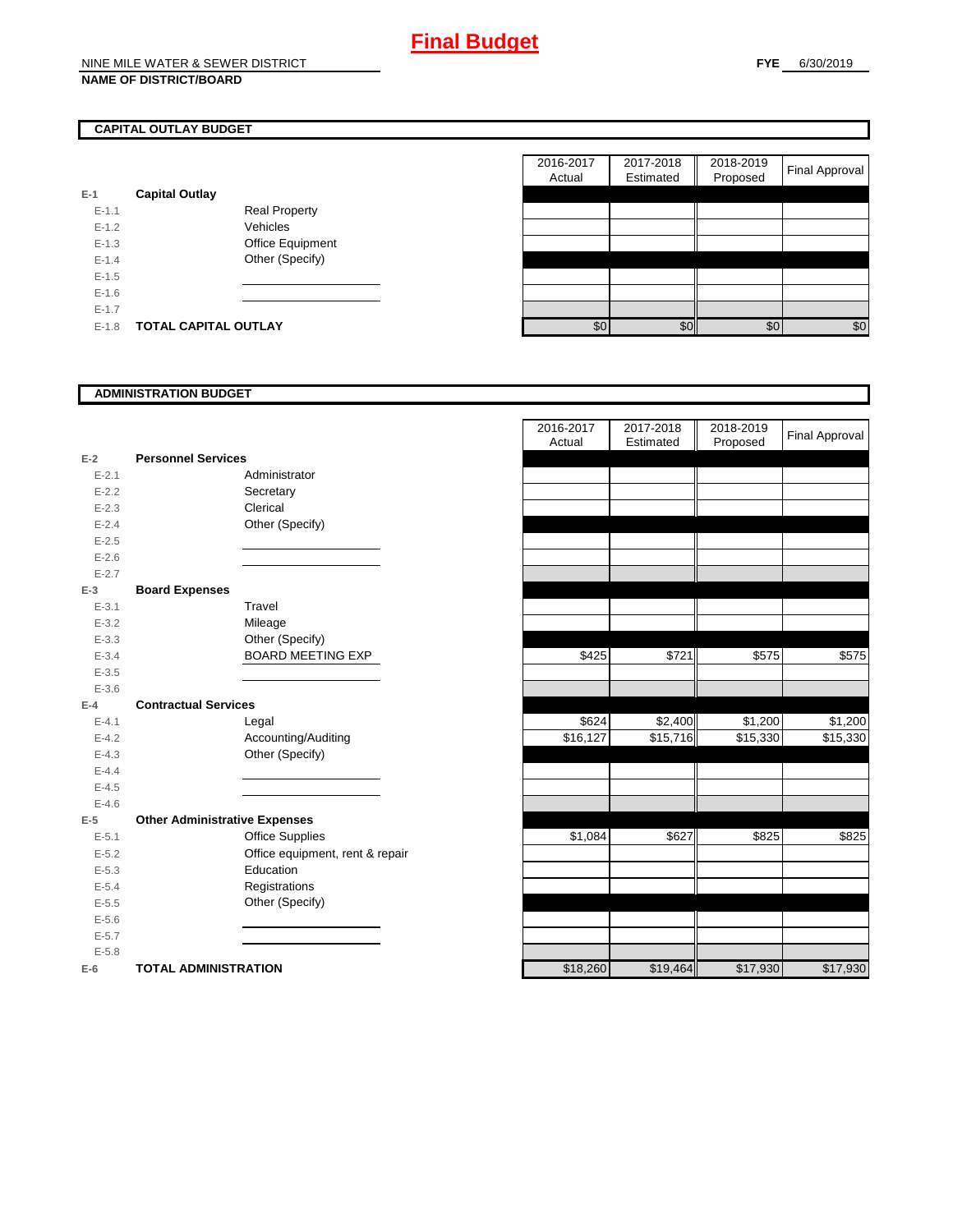## **CAPITAL OUTLAY BUDGET**

| $E-1$     | <b>Capital Outlay</b> |                  |
|-----------|-----------------------|------------------|
| $F-11$    |                       | Real Property    |
| $F-12$    |                       | Vehicles         |
| $F-1.3$   |                       | Office Equipment |
| $F-14$    |                       | Other (Specify)  |
| $F-1.5$   |                       |                  |
| $F-16$    |                       |                  |
| $E - 1.7$ |                       |                  |
| $F-1.8$   | TOTAL CAPITAL OUTLAY  |                  |

|           |                             |                      | 2016-2017<br>Actual | 2017-2018<br>Estimated | 2018-2019<br>Proposed | <b>Final Approval</b> |
|-----------|-----------------------------|----------------------|---------------------|------------------------|-----------------------|-----------------------|
|           | <b>Capital Outlay</b>       |                      |                     |                        |                       |                       |
| $E - 1.1$ |                             | <b>Real Property</b> |                     |                        |                       |                       |
| $E-1.2$   |                             | Vehicles             |                     |                        |                       |                       |
| $E-1.3$   |                             | Office Equipment     |                     |                        |                       |                       |
| $E - 1.4$ |                             | Other (Specify)      |                     |                        |                       |                       |
| $E-1.5$   |                             |                      |                     |                        |                       |                       |
| $E-1.6$   |                             |                      |                     |                        |                       |                       |
| $E - 1.7$ |                             |                      |                     |                        |                       |                       |
| $E-1.8$   | <b>TOTAL CAPITAL OUTLAY</b> |                      | \$0                 | \$0                    | \$0                   | \$0                   |

### **ADMINISTRATION BUDGET**

| $E-2$     | <b>Personnel Services</b>            |                                 |
|-----------|--------------------------------------|---------------------------------|
| $E - 2.1$ |                                      | Administrator                   |
| $E - 2.2$ |                                      | Secretary                       |
| $E - 2.3$ |                                      | Clerical                        |
| $E - 2.4$ |                                      | Other (Specify)                 |
| $E - 2.5$ |                                      |                                 |
| $E - 2.6$ |                                      |                                 |
| $E - 2.7$ |                                      |                                 |
| $E-3$     | <b>Board Expenses</b>                |                                 |
| $E - 3.1$ |                                      | Travel                          |
| $E - 3.2$ |                                      | Mileage                         |
| $E - 3.3$ |                                      | Other (Specify)                 |
| $E - 3.4$ |                                      | <b>BOARD MEETING EXP</b>        |
| $E - 3.5$ |                                      |                                 |
| $E - 3.6$ |                                      |                                 |
| $E-4$     | <b>Contractual Services</b>          |                                 |
| $E - 4.1$ |                                      | Legal                           |
| $E - 4.2$ |                                      | Accounting/Auditing             |
| $E - 4.3$ |                                      | Other (Specify)                 |
| $E - 4.4$ |                                      |                                 |
| $E - 4.5$ |                                      |                                 |
| $E - 4.6$ |                                      |                                 |
| $E-5$     | <b>Other Administrative Expenses</b> |                                 |
| $E - 5.1$ |                                      | <b>Office Supplies</b>          |
| $E - 5.2$ |                                      | Office equipment, rent & repair |
| $E - 5.3$ |                                      | Education                       |
| $E - 5.4$ |                                      | Registrations                   |
| $E - 5.5$ |                                      | Other (Specify)                 |
| $E - 5.6$ |                                      |                                 |
| $E - 5.7$ |                                      |                                 |
| $E - 5.8$ |                                      |                                 |
| F-6 I     | TOTAL ADMINISTRATION                 |                                 |

|           |                                      | 2016-2017<br>Actual | 2017-2018<br>Estimated | 2018-2019<br>Proposed | <b>Final Approval</b> |
|-----------|--------------------------------------|---------------------|------------------------|-----------------------|-----------------------|
| $E-2$     | <b>Personnel Services</b>            |                     |                        |                       |                       |
| $E - 2.1$ | Administrator                        |                     |                        |                       |                       |
| $E - 2.2$ | Secretary                            |                     |                        |                       |                       |
| $E - 2.3$ | Clerical                             |                     |                        |                       |                       |
| $E - 2.4$ | Other (Specify)                      |                     |                        |                       |                       |
| $E - 2.5$ |                                      |                     |                        |                       |                       |
| $E - 2.6$ |                                      |                     |                        |                       |                       |
| $E - 2.7$ |                                      |                     |                        |                       |                       |
| $E-3$     | <b>Board Expenses</b>                |                     |                        |                       |                       |
| $E - 3.1$ | Travel                               |                     |                        |                       |                       |
| $E - 3.2$ | Mileage                              |                     |                        |                       |                       |
| $E - 3.3$ | Other (Specify)                      |                     |                        |                       |                       |
| $E - 3.4$ | <b>BOARD MEETING EXP</b>             | \$425               | \$721                  | \$575                 | \$575                 |
| $E - 3.5$ |                                      |                     |                        |                       |                       |
| $E - 3.6$ |                                      |                     |                        |                       |                       |
| $E-4$     | <b>Contractual Services</b>          |                     |                        |                       |                       |
| $E - 4.1$ | Legal                                | \$624               | \$2,400                | \$1,200               | \$1,200               |
| $E - 4.2$ | Accounting/Auditing                  | \$16,127            | \$15,716               | \$15,330              | \$15,330              |
| $E - 4.3$ | Other (Specify)                      |                     |                        |                       |                       |
| $E-4.4$   |                                      |                     |                        |                       |                       |
| $E-4.5$   |                                      |                     |                        |                       |                       |
| $E - 4.6$ |                                      |                     |                        |                       |                       |
| $E-5$     | <b>Other Administrative Expenses</b> |                     |                        |                       |                       |
| $E - 5.1$ | Office Supplies                      | \$1,084             | \$627                  | \$825                 | \$825                 |
| $E - 5.2$ | Office equipment, rent & repair      |                     |                        |                       |                       |
| $E - 5.3$ | Education                            |                     |                        |                       |                       |
| $E - 5.4$ | Registrations                        |                     |                        |                       |                       |
| $E - 5.5$ | Other (Specify)                      |                     |                        |                       |                       |
| $E-5.6$   |                                      |                     |                        |                       |                       |
| $E - 5.7$ |                                      |                     |                        |                       |                       |
| $E - 5.8$ |                                      |                     |                        |                       |                       |
| $E-6$     | <b>TOTAL ADMINISTRATION</b>          | \$18,260            | \$19,464               | \$17,930              | \$17,930              |
|           |                                      |                     |                        |                       |                       |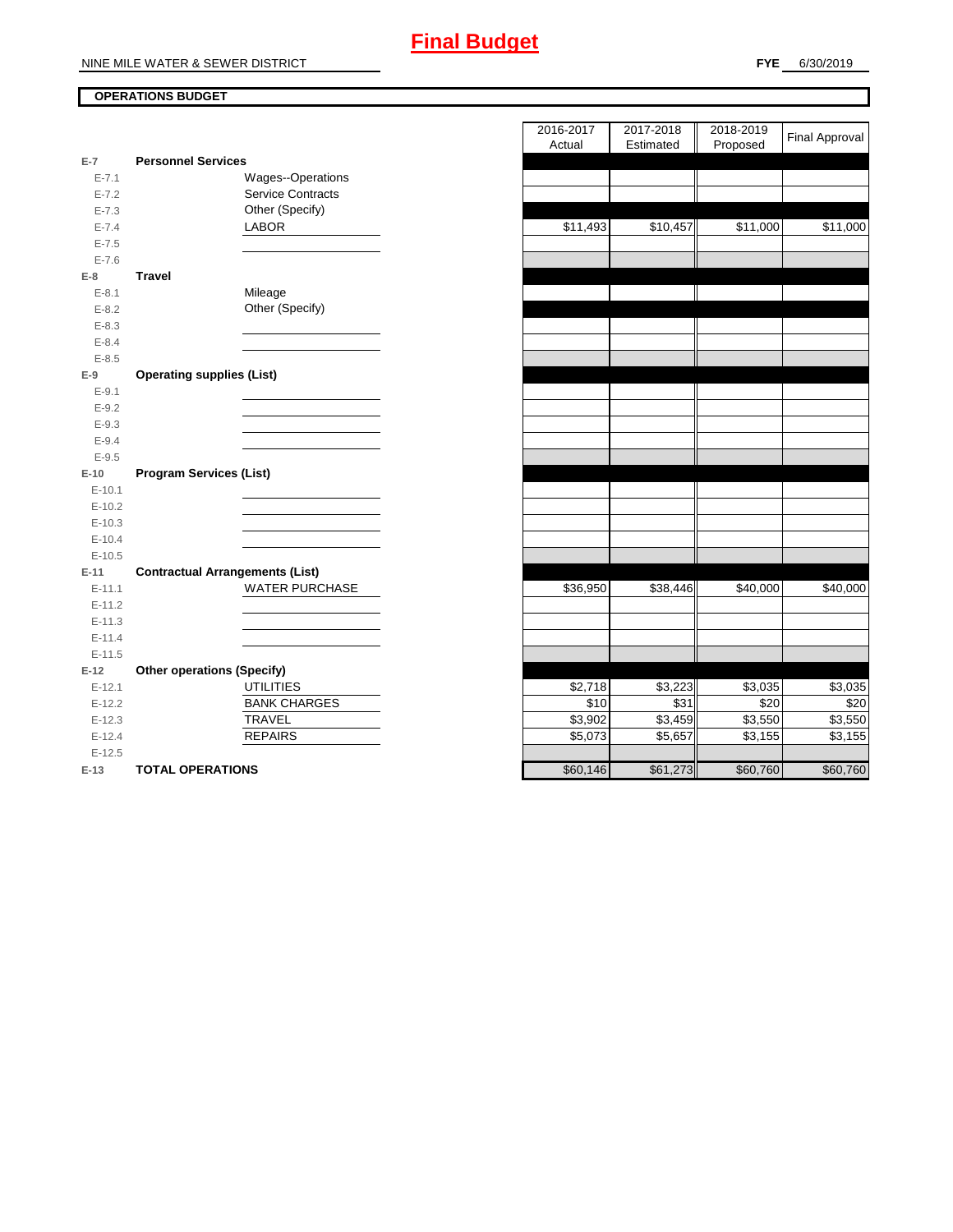# **OPERATIONS BUDGET**

| $E-7$      | <b>Personnel Services</b>              |
|------------|----------------------------------------|
| $E - 7.1$  | <b>Wages--Operations</b>               |
| $E - 7.2$  | <b>Service Contracts</b>               |
| $E - 7.3$  | Other (Specify)                        |
| $E - 7.4$  | <b>LABOR</b>                           |
| $E - 7.5$  |                                        |
| $E - 7.6$  |                                        |
| E-8        | Travel                                 |
| $E - 8.1$  | Mileage                                |
| $E - 8.2$  | Other (Specify)                        |
| $E - 8.3$  |                                        |
| $E - 8.4$  |                                        |
| $E - 8.5$  |                                        |
| $E-9$      | <b>Operating supplies (List)</b>       |
| $E-9.1$    |                                        |
| $E - 9.2$  |                                        |
| $E - 9.3$  |                                        |
| $E - 9.4$  |                                        |
| $E - 9.5$  |                                        |
| $E-10$     | <b>Program Services (List)</b>         |
| $E-10.1$   |                                        |
| $E-10.2$   |                                        |
| $E-10.3$   |                                        |
|            |                                        |
| $E-10.4$   |                                        |
| $E-10.5$   |                                        |
| E-11       | <b>Contractual Arrangements (List)</b> |
| $E - 11.1$ | <b>WATER PURCHASE</b>                  |
| $E-11.2$   |                                        |
| $E-11.3$   |                                        |
| $E-11.4$   |                                        |
| $E-11.5$   |                                        |
| $E-12$     | <b>Other operations (Specify)</b>      |
| $E-12.1$   | <b>UTILITIES</b>                       |
| $E-12.2$   | <b>BANK CHARGES</b>                    |
| $E-12.3$   | <b>TRAVEL</b>                          |
| $E-12.4$   | <b>REPAIRS</b>                         |
| $E-12.5$   |                                        |

|                |                                        | 2018-2019<br>2016-2017<br>2017-2018    | <b>Final Approval</b> |
|----------------|----------------------------------------|----------------------------------------|-----------------------|
| $\overline{7}$ | <b>Personnel Services</b>              | Actual<br>Estimated<br>Proposed        |                       |
| $E - 7.1$      | Wages--Operations                      |                                        |                       |
| $E - 7.2$      | <b>Service Contracts</b>               |                                        |                       |
| $E - 7.3$      | Other (Specify)                        |                                        |                       |
| $E - 7.4$      | LABOR                                  | \$11,493<br>\$10,457<br>\$11,000       | \$11,000              |
| $E - 7.5$      |                                        |                                        |                       |
| $E - 7.6$      |                                        |                                        |                       |
| 8              | <b>Travel</b>                          |                                        |                       |
| $E - 8.1$      | Mileage                                |                                        |                       |
| $E-8.2$        | Other (Specify)                        |                                        |                       |
| $E - 8.3$      |                                        |                                        |                       |
| $E - 8.4$      |                                        |                                        |                       |
| $E - 8.5$      |                                        |                                        |                       |
| 9              | <b>Operating supplies (List)</b>       |                                        |                       |
| $E - 9.1$      |                                        |                                        |                       |
| $E - 9.2$      |                                        |                                        |                       |
| $E - 9.3$      |                                        |                                        |                       |
| $E - 9.4$      |                                        |                                        |                       |
| $E - 9.5$      |                                        |                                        |                       |
| $10^{\circ}$   | <b>Program Services (List)</b>         |                                        |                       |
| $E-10.1$       |                                        |                                        |                       |
| $E-10.2$       |                                        |                                        |                       |
| $E-10.3$       |                                        |                                        |                       |
| $E-10.4$       |                                        |                                        |                       |
| $E-10.5$       |                                        |                                        |                       |
| $11 -$         | <b>Contractual Arrangements (List)</b> |                                        |                       |
| $E-11.1$       | WATER PURCHASE                         | \$36,950<br>\$38,446<br>\$40,000       | \$40,000              |
| $E-11.2$       |                                        |                                        |                       |
| $E-11.3$       |                                        |                                        |                       |
| $E-11.4$       |                                        |                                        |                       |
| $E-11.5$       |                                        |                                        |                       |
| 12             | <b>Other operations (Specify)</b>      |                                        |                       |
| $E-12.1$       | <b>UTILITIES</b>                       | \$2,718<br>\$3,223<br>\$3,035          | \$3,035               |
| $E-12.2$       | <b>BANK CHARGES</b>                    | \$10<br>\$31                           | \$20<br>\$20          |
| $E-12.3$       | <b>TRAVEL</b>                          | \$3,902<br>\$3,459<br>\$3,550          | \$3,550               |
| $E-12.4$       | <b>REPAIRS</b>                         | \$5,073<br>\$5,657<br>\$3,155          | \$3,155               |
| $E-12.5$       |                                        |                                        |                       |
| $13 -$         | TOTAL OPERATIONS                       | \$61 273<br><b>960 760</b><br>\$60,146 | \$60,760              |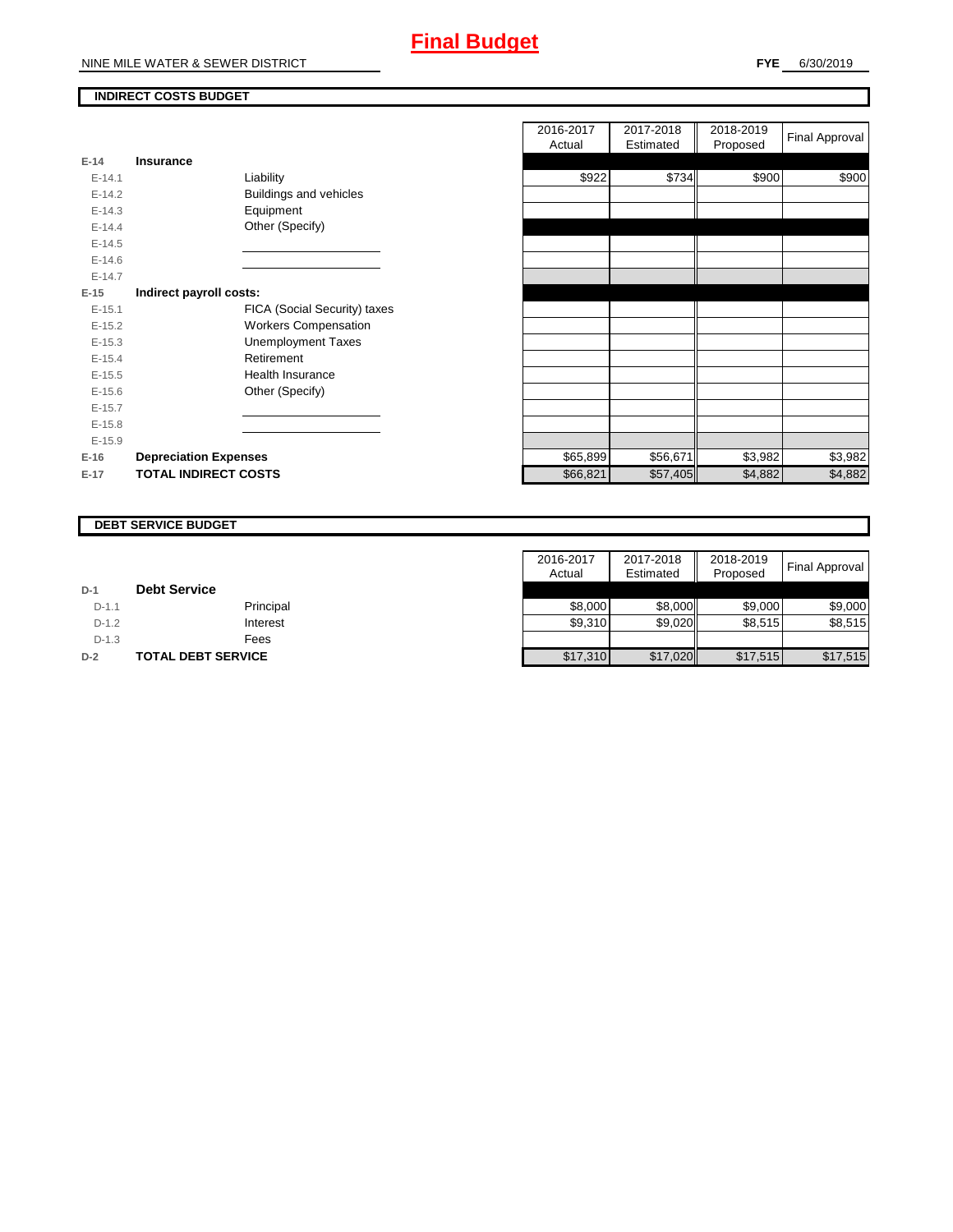# **INDIRECT COSTS BUDGET**

| E-14       | Insurance                     |
|------------|-------------------------------|
| $F-141$    | Liability                     |
| $F-142$    | <b>Buildings and vehicles</b> |
| $F-14.3$   | Equipment                     |
| $F-144$    | Other (Specify)               |
| $E-14.5$   |                               |
| $E - 14.6$ |                               |
| $F-147$    |                               |
| $E-15$     | Indirect payroll costs:       |
| $E - 15.1$ | FICA (Social Security) taxes  |
| $E-15.2$   | <b>Workers Compensation</b>   |
| $E-15.3$   | <b>Unemployment Taxes</b>     |
| $E-15.4$   | Retirement                    |
| $E-15.5$   | Health Insurance              |
| $E - 15.6$ | Other (Specify)               |
| $E-15.7$   |                               |
| $E-15.8$   |                               |
| $E-15.9$   |                               |
| $E-16$     | <b>Depreciation Expenses</b>  |
| $E-17$     | <b>TOTAL INDIRECT COSTS</b>   |

|          |                              | 2016-2017<br>Actual | 2017-2018<br>Estimated | 2018-2019<br>Proposed | <b>Final Approval</b> |
|----------|------------------------------|---------------------|------------------------|-----------------------|-----------------------|
| $E-14$   | <b>Insurance</b>             |                     |                        |                       |                       |
| $E-14.1$ | Liability                    | \$922               | \$734                  | \$900                 | \$900                 |
| $E-14.2$ | Buildings and vehicles       |                     |                        |                       |                       |
| $E-14.3$ | Equipment                    |                     |                        |                       |                       |
| $E-14.4$ | Other (Specify)              |                     |                        |                       |                       |
| $E-14.5$ |                              |                     |                        |                       |                       |
| $E-14.6$ |                              |                     |                        |                       |                       |
| $E-14.7$ |                              |                     |                        |                       |                       |
| $E-15$   | Indirect payroll costs:      |                     |                        |                       |                       |
| $E-15.1$ | FICA (Social Security) taxes |                     |                        |                       |                       |
| $E-15.2$ | <b>Workers Compensation</b>  |                     |                        |                       |                       |
| $E-15.3$ | <b>Unemployment Taxes</b>    |                     |                        |                       |                       |
| $E-15.4$ | Retirement                   |                     |                        |                       |                       |
| $E-15.5$ | <b>Health Insurance</b>      |                     |                        |                       |                       |
| $E-15.6$ | Other (Specify)              |                     |                        |                       |                       |
| $E-15.7$ |                              |                     |                        |                       |                       |
| $E-15.8$ |                              |                     |                        |                       |                       |
| $E-15.9$ |                              |                     |                        |                       |                       |
| $E-16$   | <b>Depreciation Expenses</b> | \$65,899            | \$56,671               | \$3,982               | \$3,982               |
| E-17     | <b>TOTAL INDIRECT COSTS</b>  | \$66,821            | \$57,405               | \$4,882               | \$4,882               |
|          |                              |                     |                        |                       |                       |

#### **DEBT SERVICE BUDGET**

|         |                           | 2016-2017 | 2017-2018 | 2018-2019 | Final Approval |
|---------|---------------------------|-----------|-----------|-----------|----------------|
|         |                           | Actual    | Estimated | Proposed  |                |
| $D-1$   | <b>Debt Service</b>       |           |           |           |                |
| $D-1.1$ | Principal                 | \$8,000   | \$8,000   | \$9,000   | \$9,000        |
| $D-1.2$ | Interest                  | \$9,310   | \$9,020   | \$8,515   | \$8,515        |
| $D-1.3$ | Fees                      |           |           |           |                |
| $D-2$   | <b>TOTAL DEBT SERVICE</b> | \$17,310  | \$17,020  | \$17,515  | \$17,515       |